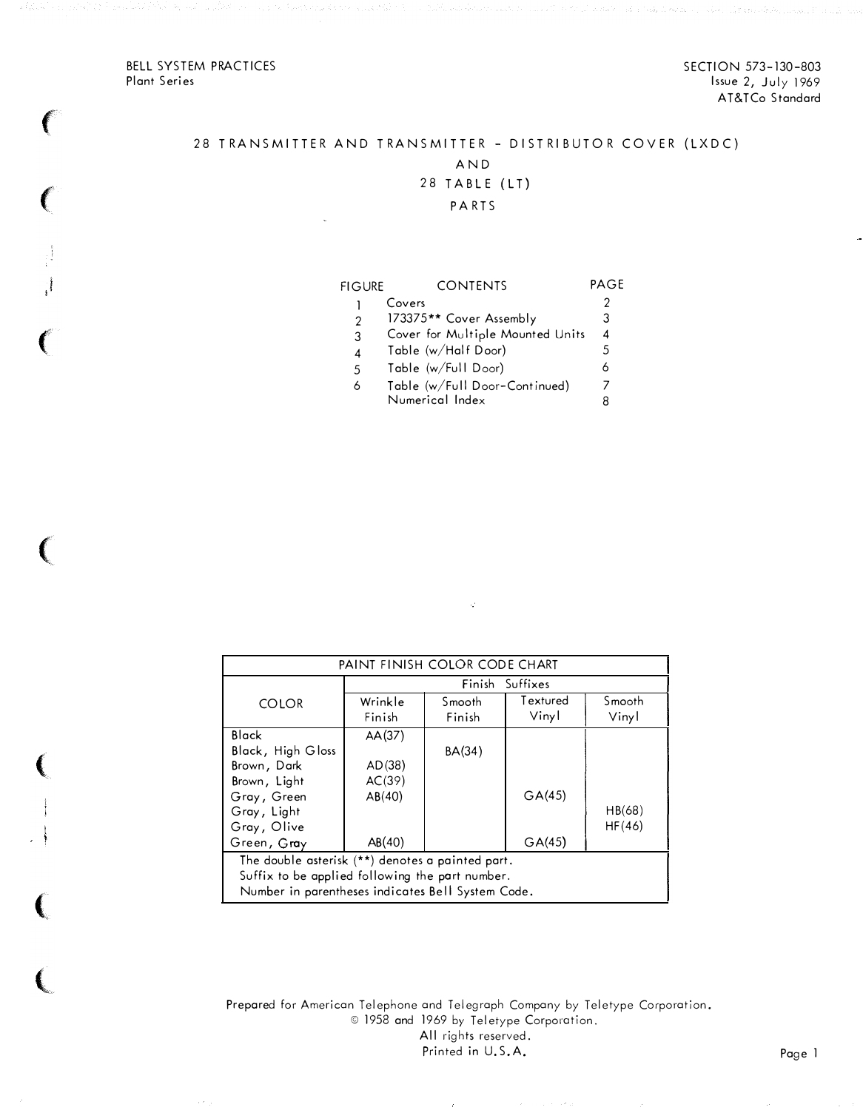BELL SYSTEM PRACTICES Plant Series

f

(

! i

 $\epsilon$ 

 $\big($ 

 $\left($ 

 $\left($ 

(

SECTION 573-130-803 Issue 2, July 1969 AT&TCo Standard

## 28 TRANSMITTER AND TRANSMITTER - DISTRIBUTOR COVER (LXDC) AND

# 28 TABLE (LT)

### P A RTS

| FIGURE        | CONTENTS                         | PAG+ |
|---------------|----------------------------------|------|
|               | Covers                           |      |
| $\mathcal{P}$ | 173375** Cover Assembly          | З    |
| 3             | Cover for Multiple Mounted Units | 4    |
| 4             | Table (w/Half Door)              | 5    |
| 5             | Table (w/Full Door)              |      |
| 6             | Table (w/Full Door-Continued)    |      |
|               | Numerical Index                  | 8    |
|               |                                  |      |

| PAINT FINISH COLOR CODE CHART                     |         |        |          |        |  |  |  |
|---------------------------------------------------|---------|--------|----------|--------|--|--|--|
| Finish<br>Suffixes                                |         |        |          |        |  |  |  |
| <b>COLOR</b>                                      | Wrinkle | Smooth | Textured | Smooth |  |  |  |
|                                                   | Finish  | Finish | Vinyl    | Vinyl  |  |  |  |
| Black                                             | AA(37)  |        |          |        |  |  |  |
| Black, High Gloss                                 |         | BA(34) |          |        |  |  |  |
| Brown, Dark                                       | AD(38)  |        |          |        |  |  |  |
| Brown, Light                                      | AC(39)  |        |          |        |  |  |  |
| Gray, Green                                       | AB(40)  |        | GA(45)   |        |  |  |  |
| Gray, Light                                       |         |        |          | HB(68) |  |  |  |
| Gray, Olive                                       |         |        |          | HF(46) |  |  |  |
| Green, Gray                                       | AB(40)  |        | GA(45)   |        |  |  |  |
| The double asterisk (**) denotes a painted part.  |         |        |          |        |  |  |  |
| Suffix to be applied following the part number.   |         |        |          |        |  |  |  |
| Number in parentheses indicates Bell System Code. |         |        |          |        |  |  |  |

 $\mathcal{L}$ 

Prepared for American Telephone and Telegraph Company by Teletype Corporation.<br>© 1958 and 1969 by Teletype Corporation. All rights reserved. Printed in U.S.A. Page 1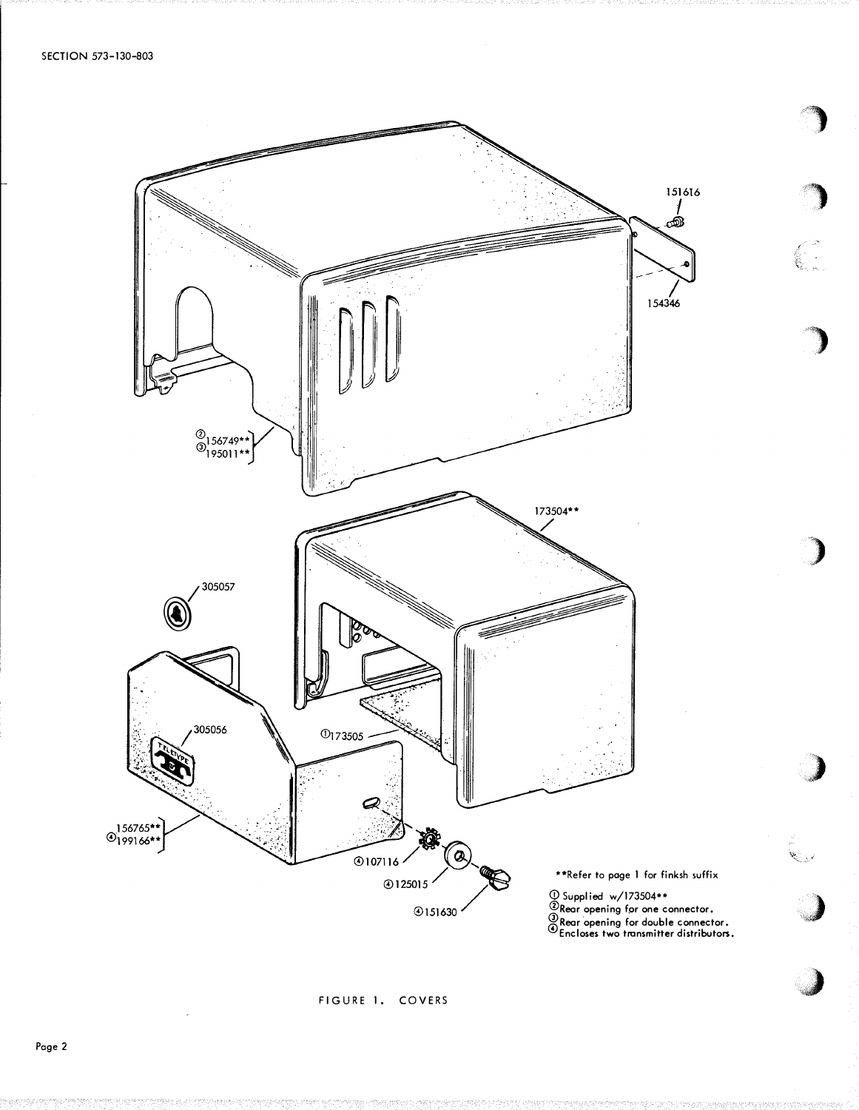

etar<br>S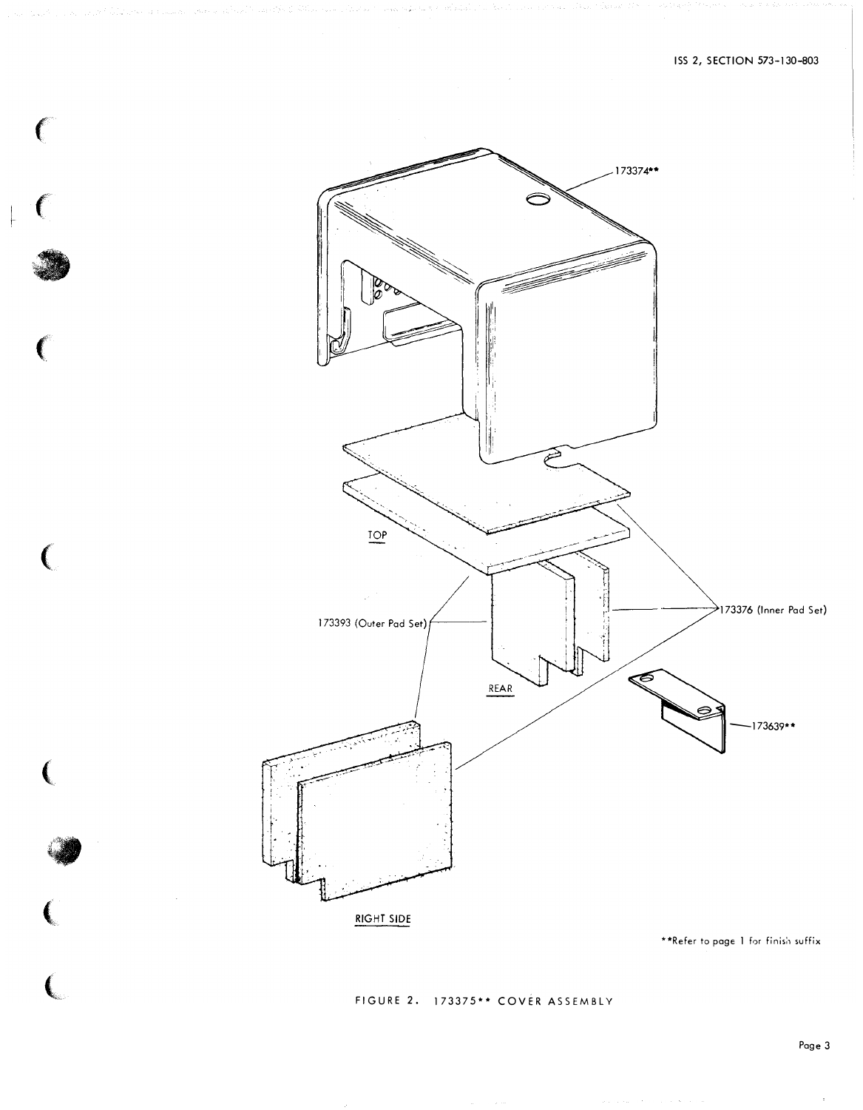

 $\big($ 

 $\big($ 

(

 $\big($ 

 $\overline{C}$ 

FIGURE 2. 173375\*\* COVER ASSEMBLY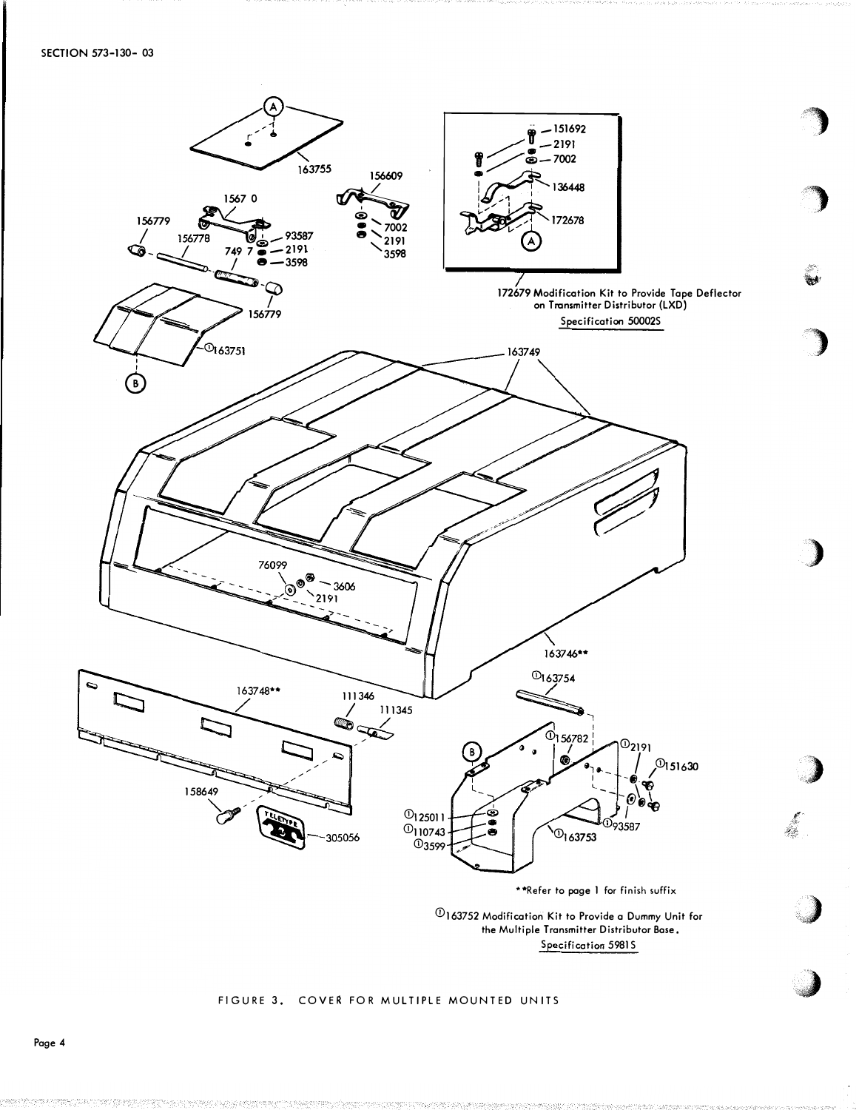

the Multiple Transmitter Distributor Bose. Sp ecification 5981 S

••• ••

#### FIGURE 3. COVER FOR MULTIPLE MOUNTED UNITS

Page 4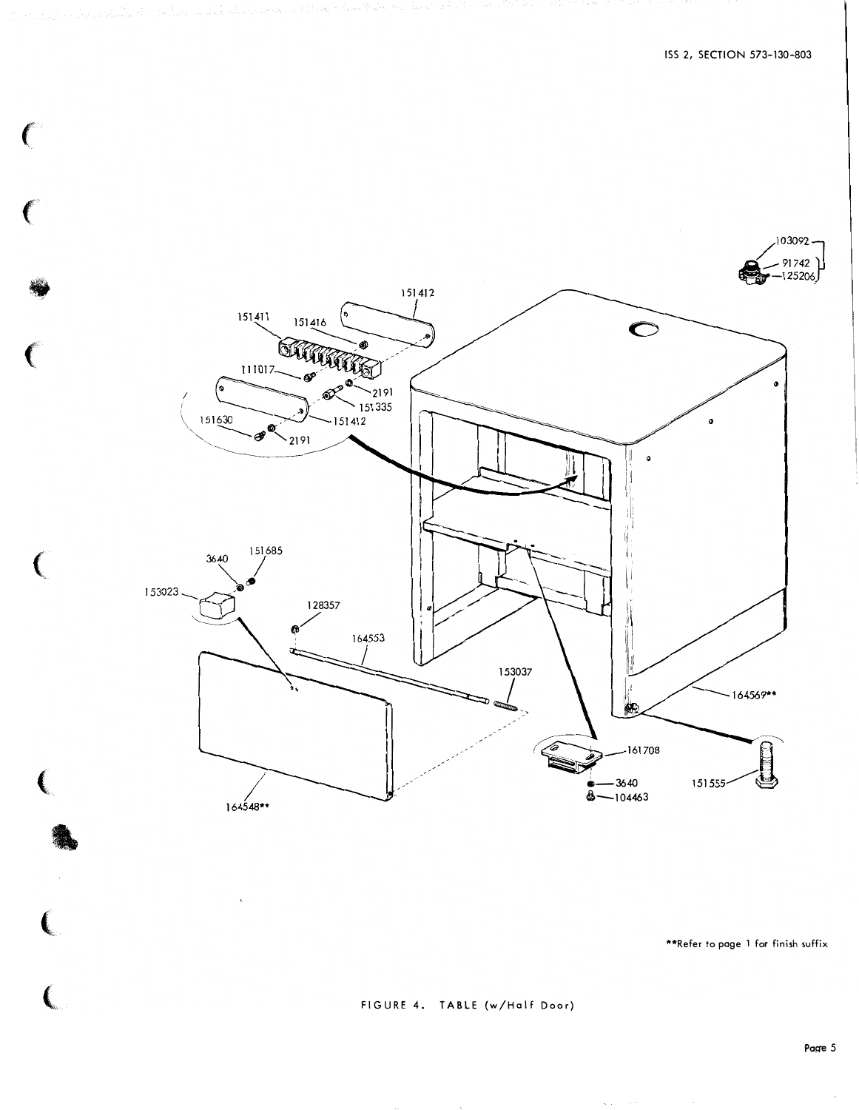

 $\epsilon$ 

 $\mathbf{C}$ 

 $\big($ 

 $\big($ 

\*\*Refer to page 1 for finish suffix

 $\mathcal{O}(1/\epsilon^2)$  , where  $\mathcal{O}(1/\epsilon^2)$ 

FIGURE 4. TABLE (w/Half Door)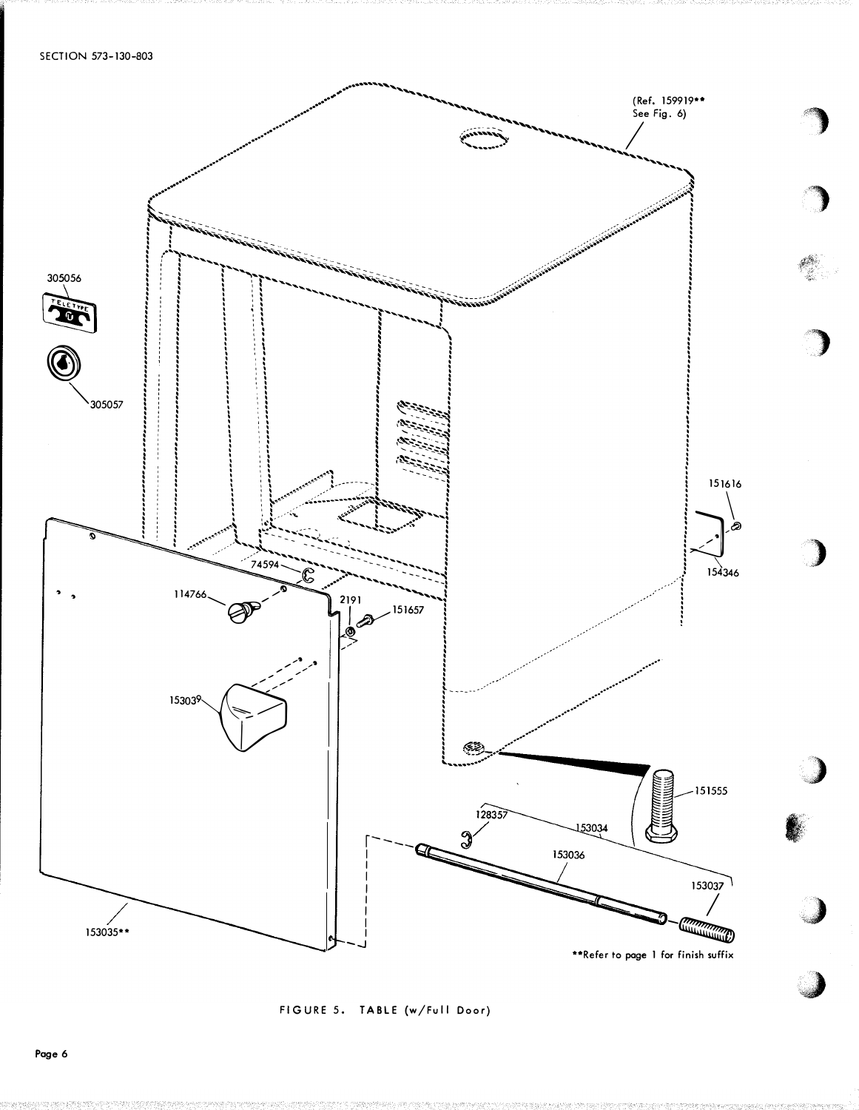

FIGURE 5. TABLE (w/Full Door)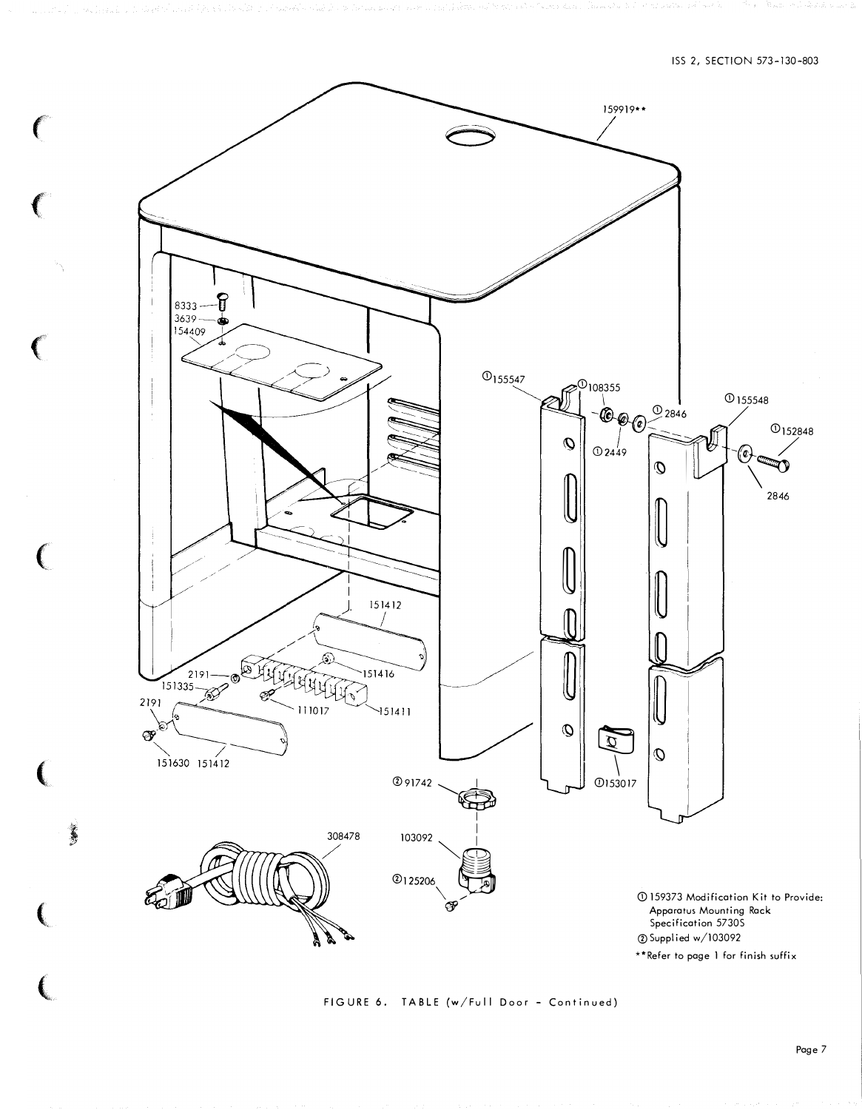

 $\epsilon$ 

 $\left($ 

 $\big($ 

 $\big($ 

(

(

 $\left($ 

j.

FIGURE 6. TABLE (w/Full Door - Continued)